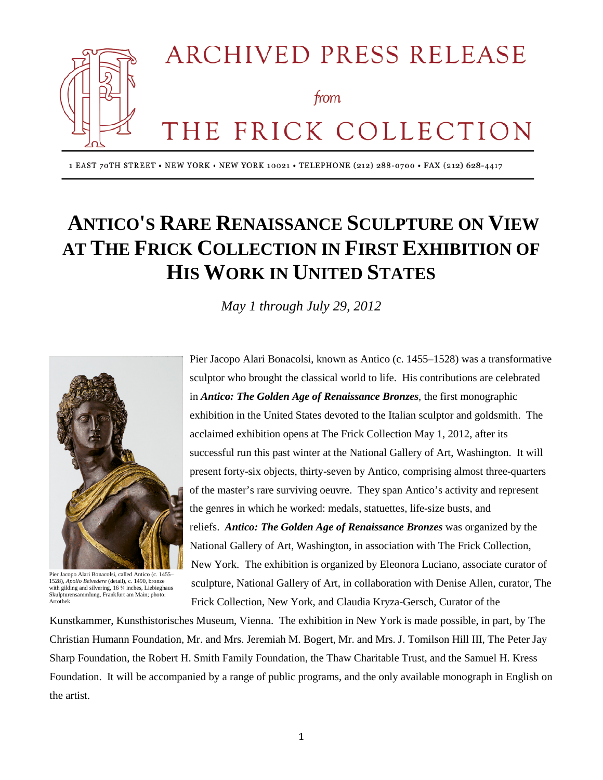

1 EAST 70TH STREET . NEW YORK . NEW YORK 10021 . TELEPHONE (212) 288-0700 . FAX (212) 628-4417

# **ANTICO'S RARE RENAISSANCE SCULPTURE ON VIEW AT THE FRICK COLLECTION IN FIRST EXHIBITION OF HIS WORK IN UNITED STATES**

*May 1 through July 29, 2012*



Pier Jacopo Alari Bonacolsi, called Antico (c. 1455– 1528), *Apollo Belvedere* (detail), c. 1490, bronze with gilding and silvering, 16 1/4 inches, Liebieghaus Skulpturensammlung, Frankfurt am Main; photo: Artothek

Pier Jacopo Alari Bonacolsi, known as Antico (c. 1455–1528) was a transformative sculptor who brought the classical world to life. His contributions are celebrated in *Antico: The Golden Age of Renaissance Bronzes*, the first monographic exhibition in the United States devoted to the Italian sculptor and goldsmith. The acclaimed exhibition opens at The Frick Collection May 1, 2012, after its successful run this past winter at the National Gallery of Art, Washington. It will present forty-six objects, thirty-seven by Antico, comprising almost three-quarters of the master's rare surviving oeuvre. They span Antico's activity and represent the genres in which he worked: medals, statuettes, life-size busts, and reliefs. *Antico: The Golden Age of Renaissance Bronzes* was organized by the National Gallery of Art, Washington, in association with The Frick Collection, New York. The exhibition is organized by Eleonora Luciano, associate curator of sculpture, National Gallery of Art, in collaboration with Denise Allen, curator, The Frick Collection, New York, and Claudia Kryza-Gersch, Curator of the

Kunstkammer, Kunsthistorisches Museum, Vienna. The exhibition in New York is made possible, in part, by The Christian Humann Foundation, Mr. and Mrs. Jeremiah M. Bogert, Mr. and Mrs. J. Tomilson Hill III, The Peter Jay Sharp Foundation, the Robert H. Smith Family Foundation, the Thaw Charitable Trust, and the Samuel H. Kress Foundation. It will be accompanied by a range of public programs, and the only available monograph in English on the artist.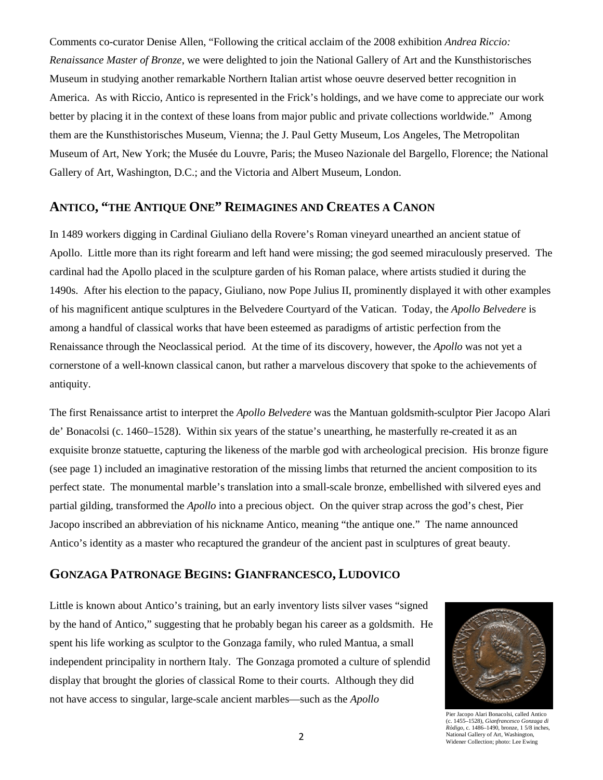Comments co-curator Denise Allen, "Following the critical acclaim of the 2008 exhibition *Andrea Riccio: Renaissance Master of Bronze*, we were delighted to join the National Gallery of Art and the Kunsthistorisches Museum in studying another remarkable Northern Italian artist whose oeuvre deserved better recognition in America. As with Riccio, Antico is represented in the Frick's holdings, and we have come to appreciate our work better by placing it in the context of these loans from major public and private collections worldwide." Among them are the Kunsthistorisches Museum, Vienna; the J. Paul Getty Museum, Los Angeles, The Metropolitan Museum of Art, New York; the Musée du Louvre, Paris; the Museo Nazionale del Bargello, Florence; the National Gallery of Art, Washington, D.C.; and the Victoria and Albert Museum, London.

## **ANTICO, "THE ANTIQUE ONE" REIMAGINES AND CREATES A CANON**

In 1489 workers digging in Cardinal Giuliano della Rovere's Roman vineyard unearthed an ancient statue of Apollo. Little more than its right forearm and left hand were missing; the god seemed miraculously preserved. The cardinal had the Apollo placed in the sculpture garden of his Roman palace, where artists studied it during the 1490s. After his election to the papacy, Giuliano, now Pope Julius II, prominently displayed it with other examples of his magnificent antique sculptures in the Belvedere Courtyard of the Vatican. Today, the *Apollo Belvedere* is among a handful of classical works that have been esteemed as paradigms of artistic perfection from the Renaissance through the Neoclassical period. At the time of its discovery, however, the *Apollo* was not yet a cornerstone of a well-known classical canon, but rather a marvelous discovery that spoke to the achievements of antiquity.

The first Renaissance artist to interpret the *Apollo Belvedere* was the Mantuan goldsmith-sculptor Pier Jacopo Alari de' Bonacolsi (c. 1460–1528). Within six years of the statue's unearthing, he masterfully re-created it as an exquisite bronze statuette, capturing the likeness of the marble god with archeological precision. His bronze figure (see page 1) included an imaginative restoration of the missing limbs that returned the ancient composition to its perfect state. The monumental marble's translation into a small-scale bronze, embellished with silvered eyes and partial gilding, transformed the *Apollo* into a precious object. On the quiver strap across the god's chest, Pier Jacopo inscribed an abbreviation of his nickname Antico, meaning "the antique one." The name announced Antico's identity as a master who recaptured the grandeur of the ancient past in sculptures of great beauty.

#### **GONZAGA PATRONAGE BEGINS: GIANFRANCESCO, LUDOVICO**

Little is known about Antico's training, but an early inventory lists silver vases "signed by the hand of Antico," suggesting that he probably began his career as a goldsmith. He spent his life working as sculptor to the Gonzaga family, who ruled Mantua, a small independent principality in northern Italy. The Gonzaga promoted a culture of splendid display that brought the glories of classical Rome to their courts. Although they did not have access to singular, large-scale ancient marbles—such as the *Apollo* 



Pier Jacopo Alari Bonacolsi, called Antico (c. 1455–1528), *Gianfrancesco Gonzaga di Ròdigo*, c. 1486–1490, bronze, 1 5/8 inches, National Gallery of Art, Washington, Widener Collection; photo: Lee Ewing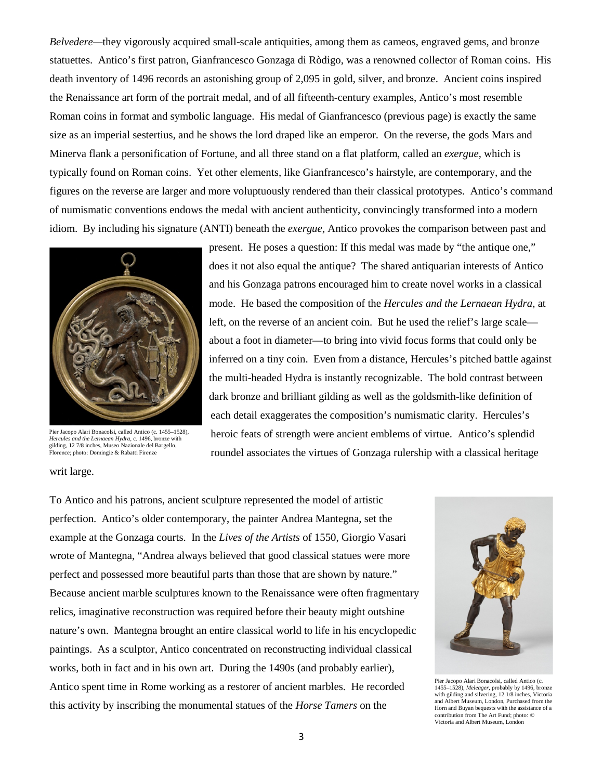*Belvedere—*they vigorously acquired small-scale antiquities, among them as cameos, engraved gems, and bronze statuettes. Antico's first patron, Gianfrancesco Gonzaga di Ròdigo, was a renowned collector of Roman coins. His death inventory of 1496 records an astonishing group of 2,095 in gold, silver, and bronze. Ancient coins inspired the Renaissance art form of the portrait medal, and of all fifteenth-century examples, Antico's most resemble Roman coins in format and symbolic language. His medal of Gianfrancesco (previous page) is exactly the same size as an imperial sestertius, and he shows the lord draped like an emperor. On the reverse, the gods Mars and Minerva flank a personification of Fortune, and all three stand on a flat platform, called an *exergue,* which is typically found on Roman coins. Yet other elements, like Gianfrancesco's hairstyle, are contemporary, and the figures on the reverse are larger and more voluptuously rendered than their classical prototypes. Antico's command of numismatic conventions endows the medal with ancient authenticity, convincingly transformed into a modern idiom. By including his signature (ANTI) beneath the *exergue,* Antico provokes the comparison between past and



Pier Jacopo Alari Bonacolsi, called Antico (c. 1455–1528), *Hercules and the Lernaean Hydra*, c. 1496, bronze with gilding, 12 7/8 inches, Museo Nazionale del Bargello, Florence; photo: Domingie & Rabatti Firenze

present. He poses a question: If this medal was made by "the antique one," does it not also equal the antique? The shared antiquarian interests of Antico and his Gonzaga patrons encouraged him to create novel works in a classical mode. He based the composition of the *Hercules and the Lernaean Hydra*, at left, on the reverse of an ancient coin. But he used the relief's large scale about a foot in diameter—to bring into vivid focus forms that could only be inferred on a tiny coin. Even from a distance, Hercules's pitched battle against the multi-headed Hydra is instantly recognizable. The bold contrast between dark bronze and brilliant gilding as well as the goldsmith-like definition of each detail exaggerates the composition's numismatic clarity. Hercules's heroic feats of strength were ancient emblems of virtue. Antico's splendid roundel associates the virtues of Gonzaga rulership with a classical heritage

writ large.

To Antico and his patrons, ancient sculpture represented the model of artistic perfection. Antico's older contemporary, the painter Andrea Mantegna, set the example at the Gonzaga courts. In the *Lives of the Artists* of 1550, Giorgio Vasari wrote of Mantegna, "Andrea always believed that good classical statues were more perfect and possessed more beautiful parts than those that are shown by nature." Because ancient marble sculptures known to the Renaissance were often fragmentary relics, imaginative reconstruction was required before their beauty might outshine nature's own. Mantegna brought an entire classical world to life in his encyclopedic paintings. As a sculptor, Antico concentrated on reconstructing individual classical works, both in fact and in his own art. During the 1490s (and probably earlier), Antico spent time in Rome working as a restorer of ancient marbles. He recorded this activity by inscribing the monumental statues of the *Horse Tamers* on the



Pier Jacopo Alari Bonacolsi, called Antico (c. 1455–1528), *Meleager*, probably by 1496, bronze with gilding and silvering, 12 1/8 inches, Victoria and Albert Museum, London, Purchased from the Horn and Buyan bequests with the assistance of a contribution from The Art Fund; photo: © Victoria and Albert Museum, London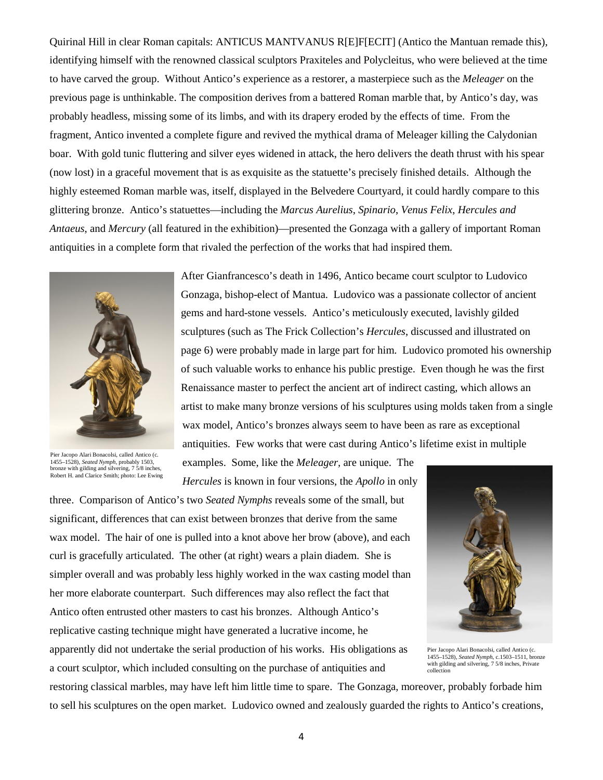Quirinal Hill in clear Roman capitals: ANTICUS MANTVANUS R[E]F[ECIT] (Antico the Mantuan remade this), identifying himself with the renowned classical sculptors Praxiteles and Polycleitus, who were believed at the time to have carved the group. Without Antico's experience as a restorer, a masterpiece such as the *Meleager* on the previous page is unthinkable. The composition derives from a battered Roman marble that, by Antico's day, was probably headless, missing some of its limbs, and with its drapery eroded by the effects of time. From the fragment, Antico invented a complete figure and revived the mythical drama of Meleager killing the Calydonian boar. With gold tunic fluttering and silver eyes widened in attack, the hero delivers the death thrust with his spear (now lost) in a graceful movement that is as exquisite as the statuette's precisely finished details. Although the highly esteemed Roman marble was, itself, displayed in the Belvedere Courtyard, it could hardly compare to this glittering bronze. Antico's statuettes—including the *Marcus Aurelius*, *Spinario*, *Venus Felix*, *Hercules and Antaeus*, and *Mercury* (all featured in the exhibition)—presented the Gonzaga with a gallery of important Roman antiquities in a complete form that rivaled the perfection of the works that had inspired them.



Pier Jacopo Alari Bonacolsi, called Antico (c. 1455–1528), *Seated Nymph*, probably 1503, bronze with gilding and silvering, 7 5/8 inches, Robert H. and Clarice Smith; photo: Lee Ewing

After Gianfrancesco's death in 1496, Antico became court sculptor to Ludovico Gonzaga, bishop-elect of Mantua. Ludovico was a passionate collector of ancient gems and hard-stone vessels. Antico's meticulously executed, lavishly gilded sculptures (such as The Frick Collection's *Hercules*, discussed and illustrated on page 6) were probably made in large part for him. Ludovico promoted his ownership of such valuable works to enhance his public prestige. Even though he was the first Renaissance master to perfect the ancient art of indirect casting, which allows an artist to make many bronze versions of his sculptures using molds taken from a single wax model, Antico's bronzes always seem to have been as rare as exceptional antiquities. Few works that were cast during Antico's lifetime exist in multiple

examples. Some, like the *Meleager,* are unique. The *Hercules* is known in four versions, the *Apollo* in only

three. Comparison of Antico's two *Seated Nymphs* reveals some of the small, but significant, differences that can exist between bronzes that derive from the same wax model. The hair of one is pulled into a knot above her brow (above), and each curl is gracefully articulated. The other (at right) wears a plain diadem. She is simpler overall and was probably less highly worked in the wax casting model than her more elaborate counterpart. Such differences may also reflect the fact that Antico often entrusted other masters to cast his bronzes. Although Antico's replicative casting technique might have generated a lucrative income, he apparently did not undertake the serial production of his works. His obligations as





Pier Jacopo Alari Bonacolsi, called Antico (c. 1455–1528), *Seated Nymph*, c.1503–1511, bronze with gilding and silvering, 7 5/8 inches, Private collection

restoring classical marbles, may have left him little time to spare. The Gonzaga, moreover, probably forbade him to sell his sculptures on the open market. Ludovico owned and zealously guarded the rights to Antico's creations,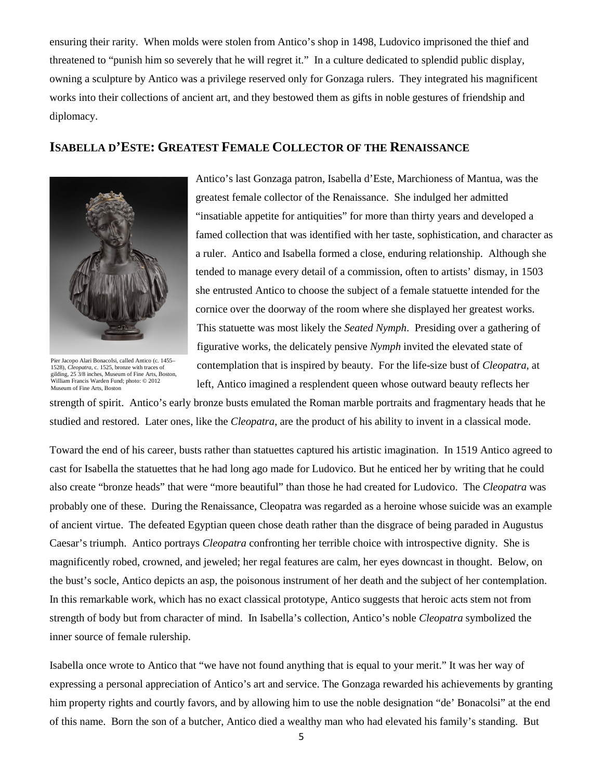ensuring their rarity. When molds were stolen from Antico's shop in 1498, Ludovico imprisoned the thief and threatened to "punish him so severely that he will regret it." In a culture dedicated to splendid public display, owning a sculpture by Antico was a privilege reserved only for Gonzaga rulers. They integrated his magnificent works into their collections of ancient art, and they bestowed them as gifts in noble gestures of friendship and diplomacy.

#### **ISABELLA D'ESTE: GREATEST FEMALE COLLECTOR OF THE RENAISSANCE**



Pier Jacopo Alari Bonacolsi, called Antico (c. 1455– 1528), *Cleopatra*, c. 1525, bronze with traces of gilding, 25 3/8 inches, Museum of Fine Arts, Boston, William Francis Warden Fund; photo: © 2012 Museum of Fine Arts, Boston

Antico's last Gonzaga patron, Isabella d'Este, Marchioness of Mantua, was the greatest female collector of the Renaissance. She indulged her admitted "insatiable appetite for antiquities" for more than thirty years and developed a famed collection that was identified with her taste, sophistication, and character as a ruler. Antico and Isabella formed a close, enduring relationship. Although she tended to manage every detail of a commission, often to artists' dismay, in 1503 she entrusted Antico to choose the subject of a female statuette intended for the cornice over the doorway of the room where she displayed her greatest works. This statuette was most likely the *Seated Nymph*. Presiding over a gathering of figurative works, the delicately pensive *Nymph* invited the elevated state of contemplation that is inspired by beauty. For the life-size bust of *Cleopatra,* at left, Antico imagined a resplendent queen whose outward beauty reflects her

strength of spirit. Antico's early bronze busts emulated the Roman marble portraits and fragmentary heads that he studied and restored. Later ones, like the *Cleopatra*, are the product of his ability to invent in a classical mode.

Toward the end of his career, busts rather than statuettes captured his artistic imagination. In 1519 Antico agreed to cast for Isabella the statuettes that he had long ago made for Ludovico. But he enticed her by writing that he could also create "bronze heads" that were "more beautiful" than those he had created for Ludovico. The *Cleopatra* was probably one of these. During the Renaissance, Cleopatra was regarded as a heroine whose suicide was an example of ancient virtue. The defeated Egyptian queen chose death rather than the disgrace of being paraded in Augustus Caesar's triumph. Antico portrays *Cleopatra* confronting her terrible choice with introspective dignity. She is magnificently robed, crowned, and jeweled; her regal features are calm, her eyes downcast in thought. Below, on the bust's socle, Antico depicts an asp, the poisonous instrument of her death and the subject of her contemplation. In this remarkable work, which has no exact classical prototype, Antico suggests that heroic acts stem not from strength of body but from character of mind. In Isabella's collection, Antico's noble *Cleopatra* symbolized the inner source of female rulership.

Isabella once wrote to Antico that "we have not found anything that is equal to your merit." It was her way of expressing a personal appreciation of Antico's art and service. The Gonzaga rewarded his achievements by granting him property rights and courtly favors, and by allowing him to use the noble designation "de' Bonacolsi" at the end of this name. Born the son of a butcher, Antico died a wealthy man who had elevated his family's standing. But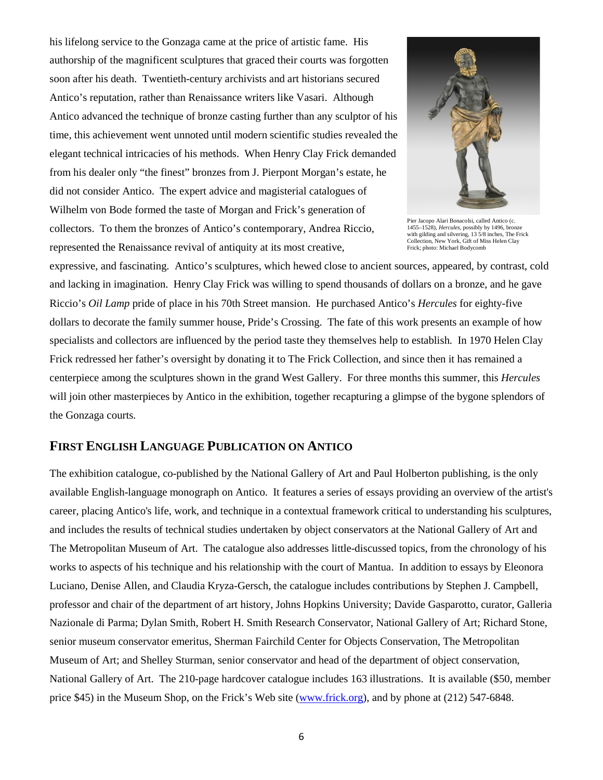his lifelong service to the Gonzaga came at the price of artistic fame. His authorship of the magnificent sculptures that graced their courts was forgotten soon after his death. Twentieth-century archivists and art historians secured Antico's reputation, rather than Renaissance writers like Vasari. Although Antico advanced the technique of bronze casting further than any sculptor of his time, this achievement went unnoted until modern scientific studies revealed the elegant technical intricacies of his methods. When Henry Clay Frick demanded from his dealer only "the finest" bronzes from J. Pierpont Morgan's estate, he did not consider Antico. The expert advice and magisterial catalogues of Wilhelm von Bode formed the taste of Morgan and Frick's generation of collectors. To them the bronzes of Antico's contemporary, Andrea Riccio, represented the Renaissance revival of antiquity at its most creative,



Pier Jacopo Alari Bonacolsi, called Antico (c. 1455–1528), *Hercules*, possibly by 1496, bronze<br>with gilding and silvering, 13 5/8 inches, The Frick<br>Collection, New York, Gift of Miss Helen Clay<br>Frick; photo: Michael Bodycomb

expressive, and fascinating. Antico's sculptures, which hewed close to ancient sources, appeared, by contrast, cold and lacking in imagination. Henry Clay Frick was willing to spend thousands of dollars on a bronze, and he gave Riccio's *Oil Lamp* pride of place in his 70th Street mansion. He purchased Antico's *Hercules* for eighty-five dollars to decorate the family summer house, Pride's Crossing. The fate of this work presents an example of how specialists and collectors are influenced by the period taste they themselves help to establish. In 1970 Helen Clay Frick redressed her father's oversight by donating it to The Frick Collection, and since then it has remained a centerpiece among the sculptures shown in the grand West Gallery. For three months this summer, this *Hercules* will join other masterpieces by Antico in the exhibition, together recapturing a glimpse of the bygone splendors of the Gonzaga courts*.*

### **FIRST ENGLISH LANGUAGE PUBLICATION ON ANTICO**

The exhibition catalogue, co-published by the National Gallery of Art and Paul Holberton publishing, is the only available English-language monograph on Antico. It features a series of essays providing an overview of the artist's career, placing Antico's life, work, and technique in a contextual framework critical to understanding his sculptures, and includes the results of technical studies undertaken by object conservators at the National Gallery of Art and The Metropolitan Museum of Art. The catalogue also addresses little-discussed topics, from the chronology of his works to aspects of his technique and his relationship with the court of Mantua. In addition to essays by Eleonora Luciano, Denise Allen, and Claudia Kryza-Gersch, the catalogue includes contributions by Stephen J. Campbell, professor and chair of the department of art history, Johns Hopkins University; Davide Gasparotto, curator, Galleria Nazionale di Parma; Dylan Smith, Robert H. Smith Research Conservator, National Gallery of Art; Richard Stone, senior museum conservator emeritus, Sherman Fairchild Center for Objects Conservation, The Metropolitan Museum of Art; and Shelley Sturman, senior conservator and head of the department of object conservation, National Gallery of Art. The 210-page hardcover catalogue includes 163 illustrations. It is available (\$50, member price \$45) in the Museum Shop, on the Frick's Web site [\(www.frick.org\)](http://www.frick.org/), and by phone at (212) 547-6848.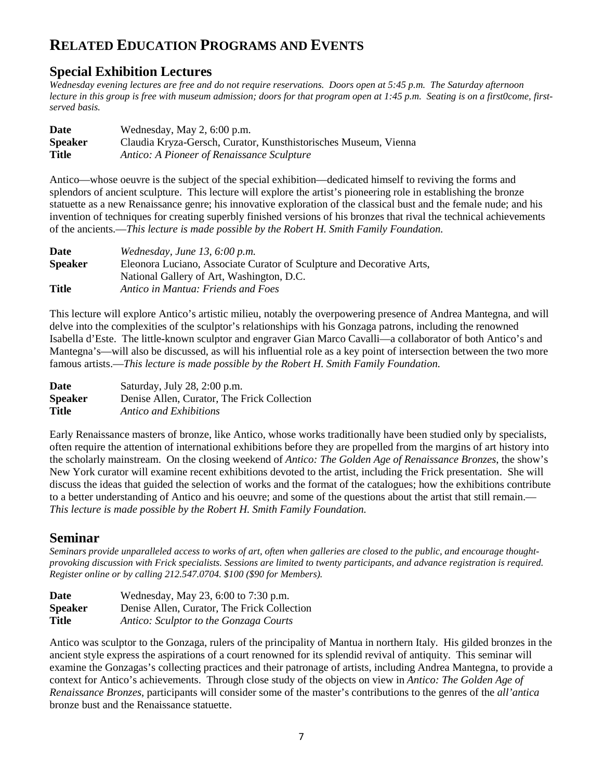# **RELATED EDUCATION PROGRAMS AND EVENTS**

## **Special Exhibition Lectures**

*Wednesday evening lectures are free and do not require reservations. Doors open at 5:45 p.m. The Saturday afternoon lecture in this group is free with museum admission; doors for that program open at 1:45 p.m. Seating is on a first0come, firstserved basis.*

| Date           | Wednesday, May $2, 6:00$ p.m.                                   |
|----------------|-----------------------------------------------------------------|
| <b>Speaker</b> | Claudia Kryza-Gersch, Curator, Kunsthistorisches Museum, Vienna |
| <b>Title</b>   | Antico: A Pioneer of Renaissance Sculpture                      |

Antico—whose oeuvre is the subject of the special exhibition—dedicated himself to reviving the forms and splendors of ancient sculpture. This lecture will explore the artist's pioneering role in establishing the bronze statuette as a new Renaissance genre; his innovative exploration of the classical bust and the female nude; and his invention of techniques for creating superbly finished versions of his bronzes that rival the technical achievements of the ancients.—*This lecture is made possible by the Robert H. Smith Family Foundation.* 

| Date           | Wednesday, June 13, $6:00$ p.m.                                       |
|----------------|-----------------------------------------------------------------------|
| <b>Speaker</b> | Eleonora Luciano, Associate Curator of Sculpture and Decorative Arts, |
|                | National Gallery of Art, Washington, D.C.                             |
| <b>Title</b>   | Antico in Mantua: Friends and Foes                                    |

This lecture will explore Antico's artistic milieu, notably the overpowering presence of Andrea Mantegna, and will delve into the complexities of the sculptor's relationships with his Gonzaga patrons, including the renowned Isabella d'Este. The little-known sculptor and engraver Gian Marco Cavalli—a collaborator of both Antico's and Mantegna's—will also be discussed, as will his influential role as a key point of intersection between the two more famous artists.—*This lecture is made possible by the Robert H. Smith Family Foundation.* 

| Date           | Saturday, July 28, 2:00 p.m.                |
|----------------|---------------------------------------------|
| <b>Speaker</b> | Denise Allen, Curator, The Frick Collection |
| <b>Title</b>   | Antico and Exhibitions                      |

Early Renaissance masters of bronze, like Antico, whose works traditionally have been studied only by specialists, often require the attention of international exhibitions before they are propelled from the margins of art history into the scholarly mainstream. On the closing weekend of *Antico: The Golden Age of Renaissance Bronzes*, the show's New York curator will examine recent exhibitions devoted to the artist, including the Frick presentation. She will discuss the ideas that guided the selection of works and the format of the catalogues; how the exhibitions contribute to a better understanding of Antico and his oeuvre; and some of the questions about the artist that still remain.— *This lecture is made possible by the Robert H. Smith Family Foundation.*

## **Seminar**

*Seminars provide unparalleled access to works of art, often when galleries are closed to the public, and encourage thoughtprovoking discussion with Frick specialists. Sessions are limited to twenty participants, and advance registration is required. Register online or by calling 212.547.0704. \$100 (\$90 for Members).* 

| Date           | Wednesday, May 23, 6:00 to 7:30 p.m.        |
|----------------|---------------------------------------------|
| <b>Speaker</b> | Denise Allen, Curator, The Frick Collection |
| <b>Title</b>   | Antico: Sculptor to the Gonzaga Courts      |

Antico was sculptor to the Gonzaga, rulers of the principality of Mantua in northern Italy. His gilded bronzes in the ancient style express the aspirations of a court renowned for its splendid revival of antiquity. This seminar will examine the Gonzagas's collecting practices and their patronage of artists, including Andrea Mantegna, to provide a context for Antico's achievements. Through close study of the objects on view in *Antico: The Golden Age of Renaissance Bronzes*, participants will consider some of the master's contributions to the genres of the *all'antica* bronze bust and the Renaissance statuette.